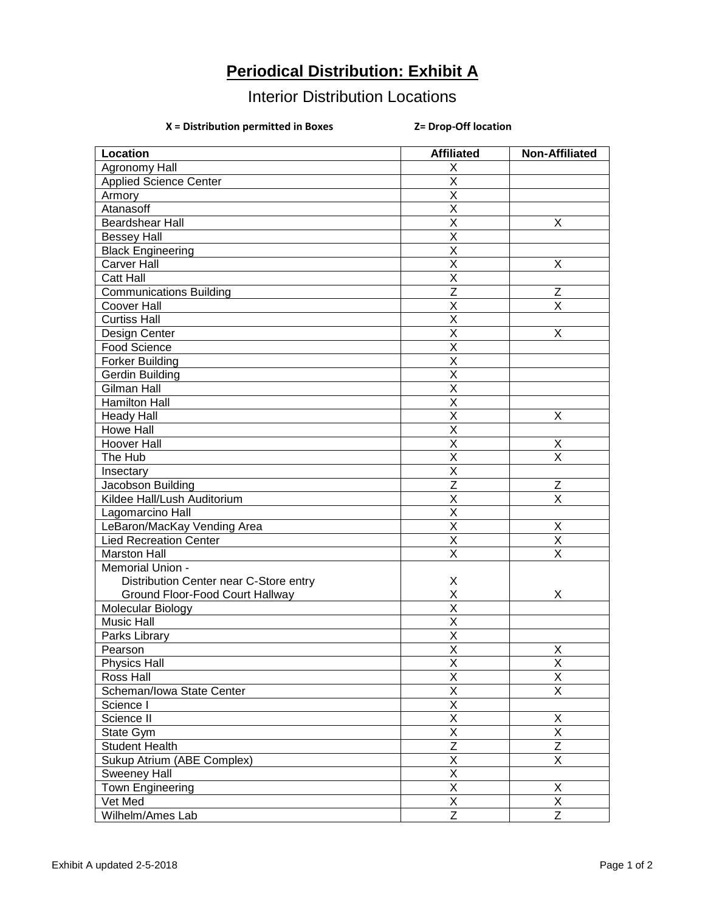## **Periodical Distribution: Exhibit A**

## Interior Distribution Locations

## **X = Distribution permitted in Boxes Z= Drop-Off location**

| Location                               | <b>Affiliated</b>       | <b>Non-Affiliated</b>   |
|----------------------------------------|-------------------------|-------------------------|
| <b>Agronomy Hall</b>                   | X                       |                         |
| <b>Applied Science Center</b>          | X                       |                         |
| Armory                                 | $\overline{\mathsf{X}}$ |                         |
| Atanasoff                              | $\overline{\mathsf{X}}$ |                         |
| <b>Beardshear Hall</b>                 | $\overline{\mathsf{X}}$ | X                       |
| <b>Bessey Hall</b>                     | $\overline{\mathsf{X}}$ |                         |
| <b>Black Engineering</b>               | $\overline{\mathsf{x}}$ |                         |
| Carver Hall                            | X                       | X                       |
| <b>Catt Hall</b>                       | X                       |                         |
| <b>Communications Building</b>         | $\overline{Z}$          | $\mathsf Z$             |
| Coover Hall                            | X                       | X                       |
| <b>Curtiss Hall</b>                    | $\overline{\mathsf{X}}$ |                         |
| Design Center                          | $\overline{\mathsf{X}}$ | X                       |
| Food Science                           | $\overline{\mathsf{X}}$ |                         |
| <b>Forker Building</b>                 | $\overline{\mathsf{X}}$ |                         |
| Gerdin Building                        | $\overline{\mathsf{X}}$ |                         |
| <b>Gilman Hall</b>                     | $\overline{\mathsf{x}}$ |                         |
| <b>Hamilton Hall</b>                   | X                       |                         |
| <b>Heady Hall</b>                      | X                       | X                       |
| <b>Howe Hall</b>                       | X                       |                         |
| Hoover Hall                            | $\overline{\mathsf{X}}$ | Χ                       |
| The Hub                                | $\overline{\mathsf{X}}$ | $\overline{\mathsf{X}}$ |
| Insectary                              | $\sf X$                 |                         |
| Jacobson Building                      | $\overline{z}$          | Z                       |
| Kildee Hall/Lush Auditorium            | $\sf X$                 | X                       |
| Lagomarcino Hall                       | $\overline{\mathsf{x}}$ |                         |
| LeBaron/MacKay Vending Area            | $\sf X$                 | $\mathsf X$             |
| <b>Lied Recreation Center</b>          | $\sf X$                 | $\sf X$                 |
| <b>Marston Hall</b>                    | X                       | X                       |
| Memorial Union -                       |                         |                         |
| Distribution Center near C-Store entry | X                       |                         |
| Ground Floor-Food Court Hallway        | X                       | X                       |
| Molecular Biology                      | $\overline{\mathsf{x}}$ |                         |
| <b>Music Hall</b>                      | $\overline{\mathsf{x}}$ |                         |
| Parks Library                          | $\overline{\mathsf{x}}$ |                         |
| Pearson                                | $\overline{\mathsf{x}}$ | Χ                       |
| <b>Physics Hall</b>                    | X                       | X                       |
| Ross Hall                              | $\overline{\mathsf{x}}$ | $\overline{\mathsf{x}}$ |
| Scheman/Iowa State Center              | $\overline{\mathsf{x}}$ | $\overline{\mathsf{X}}$ |
| Science I                              | $\overline{\mathsf{x}}$ |                         |
| Science II                             | $\overline{\mathsf{x}}$ | X                       |
| State Gym                              | $\overline{\mathsf{x}}$ | $\overline{\mathsf{X}}$ |
| <b>Student Health</b>                  | $\overline{Z}$          | $\overline{Z}$          |
| Sukup Atrium (ABE Complex)             | $\overline{\mathsf{x}}$ | $\overline{\mathsf{X}}$ |
| Sweeney Hall                           | $\overline{\mathsf{x}}$ |                         |
| Town Engineering                       | $\overline{\mathsf{x}}$ | X                       |
| Vet Med                                | Χ                       | X                       |
| Wilhelm/Ames Lab                       | $\overline{Z}$          | $\overline{Z}$          |
|                                        |                         |                         |